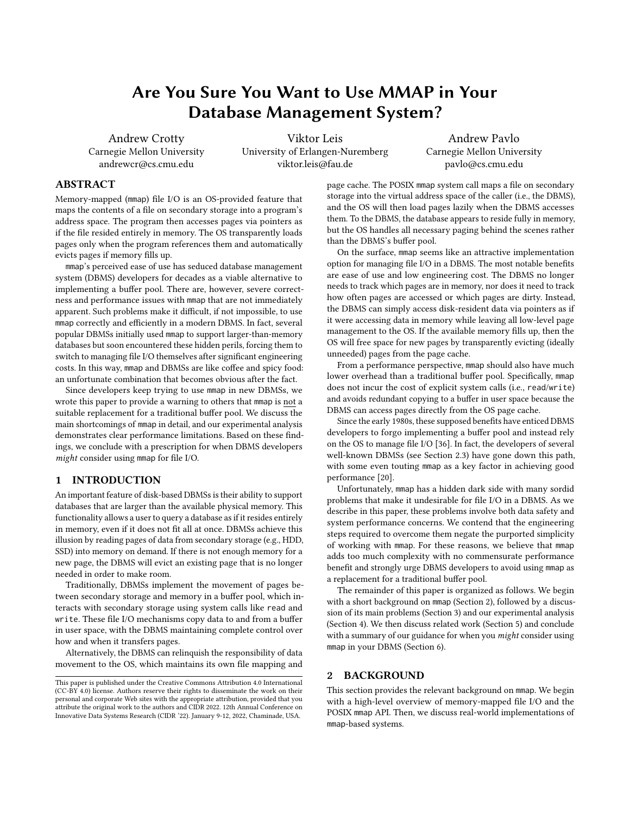# Are You Sure You Want to Use MMAP in Your Database Management System?

Andrew Crotty Carnegie Mellon University andrewcr@cs.cmu.edu

Viktor Leis University of Erlangen-Nuremberg viktor.leis@fau.de

Andrew Pavlo Carnegie Mellon University pavlo@cs.cmu.edu

# ABSTRACT

Memory-mapped (mmap) file I/O is an OS-provided feature that maps the contents of a file on secondary storage into a program's address space. The program then accesses pages via pointers as if the file resided entirely in memory. The OS transparently loads pages only when the program references them and automatically evicts pages if memory fills up.

mmap's perceived ease of use has seduced database management system (DBMS) developers for decades as a viable alternative to implementing a buffer pool. There are, however, severe correctness and performance issues with mmap that are not immediately apparent. Such problems make it difficult, if not impossible, to use mmap correctly and efficiently in a modern DBMS. In fact, several popular DBMSs initially used mmap to support larger-than-memory databases but soon encountered these hidden perils, forcing them to switch to managing file I/O themselves after significant engineering costs. In this way, mmap and DBMSs are like coffee and spicy food: an unfortunate combination that becomes obvious after the fact.

Since developers keep trying to use mmap in new DBMSs, we wrote this paper to provide a warning to others that mmap is not a suitable replacement for a traditional buffer pool. We discuss the main shortcomings of mmap in detail, and our experimental analysis demonstrates clear performance limitations. Based on these findings, we conclude with a prescription for when DBMS developers might consider using mmap for file I/O.

# 1 INTRODUCTION

An important feature of disk-based DBMSs is their ability to support databases that are larger than the available physical memory. This functionality allows a user to query a database as if it resides entirely in memory, even if it does not fit all at once. DBMSs achieve this illusion by reading pages of data from secondary storage (e.g., HDD, SSD) into memory on demand. If there is not enough memory for a new page, the DBMS will evict an existing page that is no longer needed in order to make room.

Traditionally, DBMSs implement the movement of pages between secondary storage and memory in a buffer pool, which interacts with secondary storage using system calls like read and write. These file I/O mechanisms copy data to and from a buffer in user space, with the DBMS maintaining complete control over how and when it transfers pages.

Alternatively, the DBMS can relinquish the responsibility of data movement to the OS, which maintains its own file mapping and page cache. The POSIX mmap system call maps a file on secondary storage into the virtual address space of the caller (i.e., the DBMS), and the OS will then load pages lazily when the DBMS accesses them. To the DBMS, the database appears to reside fully in memory, but the OS handles all necessary paging behind the scenes rather than the DBMS's buffer pool.

On the surface, mmap seems like an attractive implementation option for managing file I/O in a DBMS. The most notable benefits are ease of use and low engineering cost. The DBMS no longer needs to track which pages are in memory, nor does it need to track how often pages are accessed or which pages are dirty. Instead, the DBMS can simply access disk-resident data via pointers as if it were accessing data in memory while leaving all low-level page management to the OS. If the available memory fills up, then the OS will free space for new pages by transparently evicting (ideally unneeded) pages from the page cache.

From a performance perspective, mmap should also have much lower overhead than a traditional buffer pool. Specifically, mmap does not incur the cost of explicit system calls (i.e., read/write) and avoids redundant copying to a buffer in user space because the DBMS can access pages directly from the OS page cache.

Since the early 1980s, these supposed benefits have enticed DBMS developers to forgo implementing a buffer pool and instead rely on the OS to manage file I/O [\[36\]](#page-6-0). In fact, the developers of several well-known DBMSs (see [Section 2.3\)](#page-1-0) have gone down this path, with some even touting mmap as a key factor in achieving good performance [\[20\]](#page-5-0).

Unfortunately, mmap has a hidden dark side with many sordid problems that make it undesirable for file I/O in a DBMS. As we describe in this paper, these problems involve both data safety and system performance concerns. We contend that the engineering steps required to overcome them negate the purported simplicity of working with mmap. For these reasons, we believe that mmap adds too much complexity with no commensurate performance benefit and strongly urge DBMS developers to avoid using mmap as a replacement for a traditional buffer pool.

The remainder of this paper is organized as follows. We begin with a short background on mmap [\(Section 2\)](#page-0-0), followed by a discussion of its main problems [\(Section 3\)](#page-2-0) and our experimental analysis [\(Section 4\)](#page-3-0). We then discuss related work [\(Section 5\)](#page-5-1) and conclude with a summary of our guidance for when you *might* consider using mmap in your DBMS [\(Section 6\)](#page-5-2).

#### <span id="page-0-0"></span>2 BACKGROUND

This section provides the relevant background on mmap. We begin with a high-level overview of memory-mapped file I/O and the POSIX mmap API. Then, we discuss real-world implementations of mmap-based systems.

This paper is published under the Creative Commons Attribution 4.0 International (CC-BY 4.0) license. Authors reserve their rights to disseminate the work on their personal and corporate Web sites with the appropriate attribution, provided that you attribute the original work to the authors and CIDR 2022. 12th Annual Conference on Innovative Data Systems Research (CIDR '22). January 9-12, 2022, Chaminade, USA.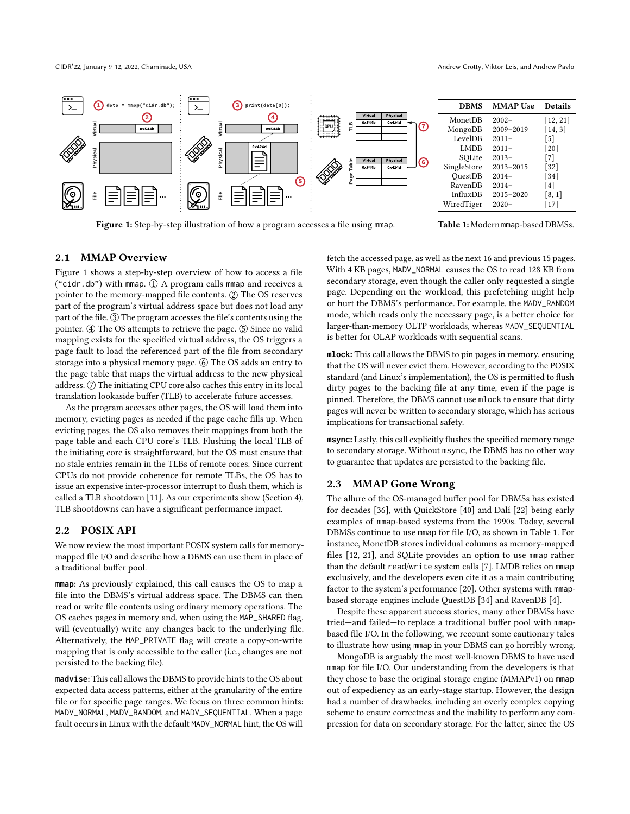<span id="page-1-1"></span>

Figure 1: Step-by-step illustration of how a program accesses a file using mmap.

Table 1: Modern mmap-based DBMSs.

### <span id="page-1-3"></span>2.1 MMAP Overview

[Figure 1](#page-1-1) shows a step-by-step overview of how to access a file ("cidr.db") with mmap.  $\textcircled{1}$  A program calls mmap and receives a pointer to the memory-mapped file contents. 2 The OS reserves part of the program's virtual address space but does not load any part of the file. 3 The program accesses the file's contents using the pointer. 4 The OS attempts to retrieve the page. 5 Since no valid mapping exists for the specified virtual address, the OS triggers a page fault to load the referenced part of the file from secondary storage into a physical memory page. ⑥ The OS adds an entry to the page table that maps the virtual address to the new physical address.  $\mathcal{D}$  The initiating CPU core also caches this entry in its local translation lookaside buffer (TLB) to accelerate future accesses.

As the program accesses other pages, the OS will load them into memory, evicting pages as needed if the page cache fills up. When evicting pages, the OS also removes their mappings from both the page table and each CPU core's TLB. Flushing the local TLB of the initiating core is straightforward, but the OS must ensure that no stale entries remain in the TLBs of remote cores. Since current CPUs do not provide coherence for remote TLBs, the OS has to issue an expensive inter-processor interrupt to flush them, which is called a TLB shootdown [\[11\]](#page-5-13). As our experiments show [\(Section 4\)](#page-3-0), TLB shootdowns can have a significant performance impact.

# <span id="page-1-2"></span>2.2 POSIX API

We now review the most important POSIX system calls for memorymapped file I/O and describe how a DBMS can use them in place of a traditional buffer pool.

**mmap**: As previously explained, this call causes the OS to map a file into the DBMS's virtual address space. The DBMS can then read or write file contents using ordinary memory operations. The OS caches pages in memory and, when using the MAP\_SHARED flag, will (eventually) write any changes back to the underlying file. Alternatively, the MAP\_PRIVATE flag will create a copy-on-write mapping that is only accessible to the caller (i.e., changes are not persisted to the backing file).

**madvise**: This call allows the DBMS to provide hints to the OS about expected data access patterns, either at the granularity of the entire file or for specific page ranges. We focus on three common hints: MADV\_NORMAL, MADV\_RANDOM, and MADV\_SEQUENTIAL. When a page fault occurs in Linux with the default MADV\_NORMAL hint, the OS will

fetch the accessed page, as well as the next 16 and previous 15 pages. With 4 KB pages, MADV\_NORMAL causes the OS to read 128 KB from secondary storage, even though the caller only requested a single page. Depending on the workload, this prefetching might help or hurt the DBMS's performance. For example, the MADV\_RANDOM mode, which reads only the necessary page, is a better choice for larger-than-memory OLTP workloads, whereas MADV\_SEQUENTIAL is better for OLAP workloads with sequential scans.

**mlock**: This call allows the DBMS to pin pages in memory, ensuring that the OS will never evict them. However, according to the POSIX standard (and Linux's implementation), the OS is permitted to flush dirty pages to the backing file at any time, even if the page is pinned. Therefore, the DBMS cannot use mlock to ensure that dirty pages will never be written to secondary storage, which has serious implications for transactional safety.

**msync**: Lastly, this call explicitly flushes the specified memory range to secondary storage. Without msync, the DBMS has no other way to guarantee that updates are persisted to the backing file.

#### <span id="page-1-0"></span>2.3 MMAP Gone Wrong

The allure of the OS-managed buffer pool for DBMSs has existed for decades [\[36\]](#page-6-0), with QuickStore [\[40\]](#page-6-3) and Dalí [\[22\]](#page-5-14) being early examples of mmap-based systems from the 1990s. Today, several DBMSs continue to use mmap for file I/O, as shown in [Table 1.](#page-1-1) For instance, MonetDB stores individual columns as memory-mapped files [\[12,](#page-5-3) [21\]](#page-5-4), and SQLite provides an option to use mmap rather than the default read/write system calls [\[7\]](#page-5-8). LMDB relies on mmap exclusively, and the developers even cite it as a main contributing factor to the system's performance [\[20\]](#page-5-0). Other systems with mmapbased storage engines include QuestDB [\[34\]](#page-6-2) and RavenDB [\[4\]](#page-5-9).

Despite these apparent success stories, many other DBMSs have tried—and failed—to replace a traditional buffer pool with mmapbased file I/O. In the following, we recount some cautionary tales to illustrate how using mmap in your DBMS can go horribly wrong.

MongoDB is arguably the most well-known DBMS to have used mmap for file I/O. Our understanding from the developers is that they chose to base the original storage engine (MMAPv1) on mmap out of expediency as an early-stage startup. However, the design had a number of drawbacks, including an overly complex copying scheme to ensure correctness and the inability to perform any compression for data on secondary storage. For the latter, since the OS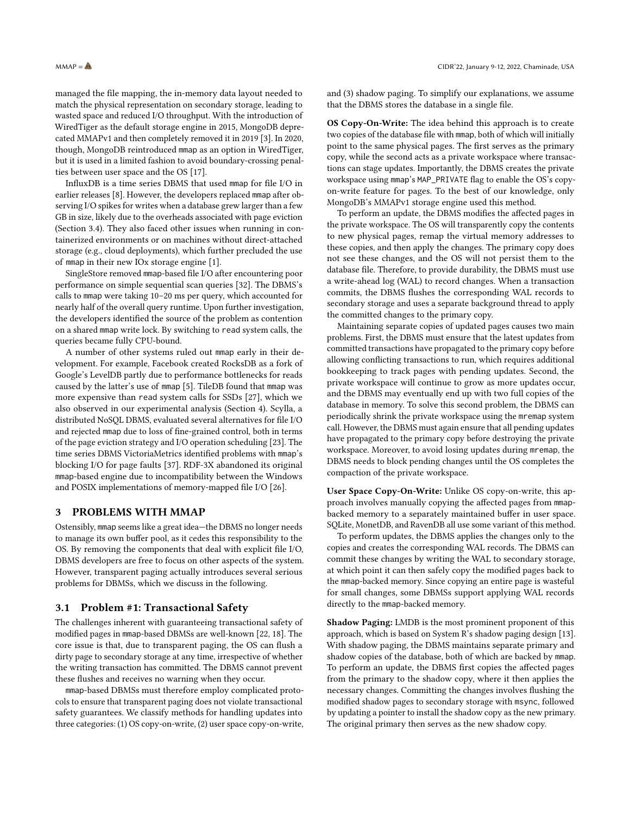managed the file mapping, the in-memory data layout needed to match the physical representation on secondary storage, leading to wasted space and reduced I/O throughput. With the introduction of WiredTiger as the default storage engine in 2015, MongoDB deprecated MMAPv1 and then completely removed it in 2019 [\[3\]](#page-5-6). In 2020, though, MongoDB reintroduced mmap as an option in WiredTiger, but it is used in a limited fashion to avoid boundary-crossing penalties between user space and the OS [\[17\]](#page-5-12).

InfluxDB is a time series DBMS that used mmap for file I/O in earlier releases [\[8\]](#page-5-10). However, the developers replaced mmap after observing I/O spikes for writes when a database grew larger than a few GB in size, likely due to the overheads associated with page eviction [\(Section 3.4\)](#page-3-1). They also faced other issues when running in containerized environments or on machines without direct-attached storage (e.g., cloud deployments), which further precluded the use of mmap in their new IOx storage engine [\[1\]](#page-5-11).

SingleStore removed mmap-based file I/O after encountering poor performance on simple sequential scan queries [\[32\]](#page-6-1). The DBMS's calls to mmap were taking 10–20 ms per query, which accounted for nearly half of the overall query runtime. Upon further investigation, the developers identified the source of the problem as contention on a shared mmap write lock. By switching to read system calls, the queries became fully CPU-bound.

A number of other systems ruled out mmap early in their development. For example, Facebook created RocksDB as a fork of Google's LevelDB partly due to performance bottlenecks for reads caused by the latter's use of mmap [\[5\]](#page-5-7). TileDB found that mmap was more expensive than read system calls for SSDs [\[27\]](#page-5-15), which we also observed in our experimental analysis [\(Section 4\)](#page-3-0). Scylla, a distributed NoSQL DBMS, evaluated several alternatives for file I/O and rejected mmap due to loss of fine-grained control, both in terms of the page eviction strategy and I/O operation scheduling [\[23\]](#page-5-16). The time series DBMS VictoriaMetrics identified problems with mmap's blocking I/O for page faults [\[37\]](#page-6-4). RDF-3X abandoned its original mmap-based engine due to incompatibility between the Windows and POSIX implementations of memory-mapped file I/O [\[26\]](#page-5-17).

#### <span id="page-2-0"></span>3 PROBLEMS WITH MMAP

Ostensibly, mmap seems like a great idea—the DBMS no longer needs to manage its own buffer pool, as it cedes this responsibility to the OS. By removing the components that deal with explicit file I/O, DBMS developers are free to focus on other aspects of the system. However, transparent paging actually introduces several serious problems for DBMSs, which we discuss in the following.

#### <span id="page-2-1"></span>3.1 Problem #1: Transactional Safety

The challenges inherent with guaranteeing transactional safety of modified pages in mmap-based DBMSs are well-known [\[22,](#page-5-14) [18\]](#page-5-18). The core issue is that, due to transparent paging, the OS can flush a dirty page to secondary storage at any time, irrespective of whether the writing transaction has committed. The DBMS cannot prevent these flushes and receives no warning when they occur.

mmap-based DBMSs must therefore employ complicated protocols to ensure that transparent paging does not violate transactional safety guarantees. We classify methods for handling updates into three categories: (1) OS copy-on-write, (2) user space copy-on-write,

and (3) shadow paging. To simplify our explanations, we assume that the DBMS stores the database in a single file.

OS Copy-On-Write: The idea behind this approach is to create two copies of the database file with mmap, both of which will initially point to the same physical pages. The first serves as the primary copy, while the second acts as a private workspace where transactions can stage updates. Importantly, the DBMS creates the private workspace using mmap's MAP\_PRIVATE flag to enable the OS's copyon-write feature for pages. To the best of our knowledge, only MongoDB's MMAPv1 storage engine used this method.

To perform an update, the DBMS modifies the affected pages in the private workspace. The OS will transparently copy the contents to new physical pages, remap the virtual memory addresses to these copies, and then apply the changes. The primary copy does not see these changes, and the OS will not persist them to the database file. Therefore, to provide durability, the DBMS must use a write-ahead log (WAL) to record changes. When a transaction commits, the DBMS flushes the corresponding WAL records to secondary storage and uses a separate background thread to apply the committed changes to the primary copy.

Maintaining separate copies of updated pages causes two main problems. First, the DBMS must ensure that the latest updates from committed transactions have propagated to the primary copy before allowing conflicting transactions to run, which requires additional bookkeeping to track pages with pending updates. Second, the private workspace will continue to grow as more updates occur, and the DBMS may eventually end up with two full copies of the database in memory. To solve this second problem, the DBMS can periodically shrink the private workspace using the mremap system call. However, the DBMS must again ensure that all pending updates have propagated to the primary copy before destroying the private workspace. Moreover, to avoid losing updates during mremap, the DBMS needs to block pending changes until the OS completes the compaction of the private workspace.

User Space Copy-On-Write: Unlike OS copy-on-write, this approach involves manually copying the affected pages from mmapbacked memory to a separately maintained buffer in user space. SQLite, MonetDB, and RavenDB all use some variant of this method.

To perform updates, the DBMS applies the changes only to the copies and creates the corresponding WAL records. The DBMS can commit these changes by writing the WAL to secondary storage, at which point it can then safely copy the modified pages back to the mmap-backed memory. Since copying an entire page is wasteful for small changes, some DBMSs support applying WAL records directly to the mmap-backed memory.

Shadow Paging: LMDB is the most prominent proponent of this approach, which is based on System R's shadow paging design [\[13\]](#page-5-19). With shadow paging, the DBMS maintains separate primary and shadow copies of the database, both of which are backed by mmap. To perform an update, the DBMS first copies the affected pages from the primary to the shadow copy, where it then applies the necessary changes. Committing the changes involves flushing the modified shadow pages to secondary storage with msync, followed by updating a pointer to install the shadow copy as the new primary. The original primary then serves as the new shadow copy.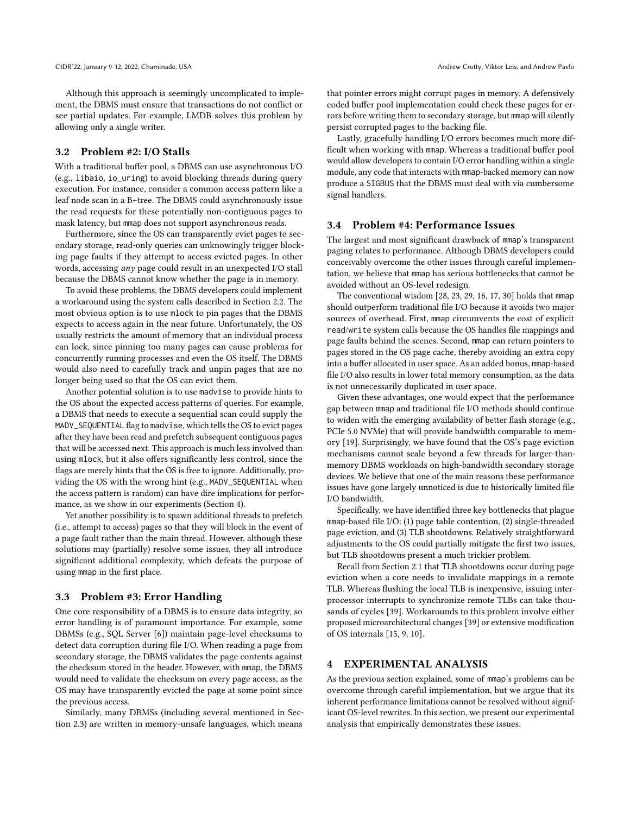Although this approach is seemingly uncomplicated to implement, the DBMS must ensure that transactions do not conflict or see partial updates. For example, LMDB solves this problem by allowing only a single writer.

# 3.2 Problem #2: I/O Stalls

With a traditional buffer pool, a DBMS can use asynchronous I/O (e.g., libaio, io\_uring) to avoid blocking threads during query execution. For instance, consider a common access pattern like a leaf node scan in a B+tree. The DBMS could asynchronously issue the read requests for these potentially non-contiguous pages to mask latency, but mmap does not support asynchronous reads.

Furthermore, since the OS can transparently evict pages to secondary storage, read-only queries can unknowingly trigger blocking page faults if they attempt to access evicted pages. In other words, accessing any page could result in an unexpected I/O stall because the DBMS cannot know whether the page is in memory.

To avoid these problems, the DBMS developers could implement a workaround using the system calls described in [Section 2.2.](#page-1-2) The most obvious option is to use mlock to pin pages that the DBMS expects to access again in the near future. Unfortunately, the OS usually restricts the amount of memory that an individual process can lock, since pinning too many pages can cause problems for concurrently running processes and even the OS itself. The DBMS would also need to carefully track and unpin pages that are no longer being used so that the OS can evict them.

Another potential solution is to use madvise to provide hints to the OS about the expected access patterns of queries. For example, a DBMS that needs to execute a sequential scan could supply the MADV\_SEQUENTIAL flag to madvise, which tells the OS to evict pages after they have been read and prefetch subsequent contiguous pages that will be accessed next. This approach is much less involved than using mlock, but it also offers significantly less control, since the flags are merely hints that the OS is free to ignore. Additionally, providing the OS with the wrong hint (e.g., MADV\_SEQUENTIAL when the access pattern is random) can have dire implications for performance, as we show in our experiments [\(Section 4\)](#page-3-0).

Yet another possibility is to spawn additional threads to prefetch (i.e., attempt to access) pages so that they will block in the event of a page fault rather than the main thread. However, although these solutions may (partially) resolve some issues, they all introduce significant additional complexity, which defeats the purpose of using mmap in the first place.

#### 3.3 Problem #3: Error Handling

One core responsibility of a DBMS is to ensure data integrity, so error handling is of paramount importance. For example, some DBMSs (e.g., SQL Server [\[6\]](#page-5-20)) maintain page-level checksums to detect data corruption during file I/O. When reading a page from secondary storage, the DBMS validates the page contents against the checksum stored in the header. However, with mmap, the DBMS would need to validate the checksum on every page access, as the OS may have transparently evicted the page at some point since the previous access.

Similarly, many DBMSs (including several mentioned in [Sec](#page-1-0)[tion 2.3\)](#page-1-0) are written in memory-unsafe languages, which means

that pointer errors might corrupt pages in memory. A defensively coded buffer pool implementation could check these pages for errors before writing them to secondary storage, but mmap will silently persist corrupted pages to the backing file.

Lastly, gracefully handling I/O errors becomes much more difficult when working with mmap. Whereas a traditional buffer pool would allow developers to contain I/O error handling within a single module, any code that interacts with mmap-backed memory can now produce a SIGBUS that the DBMS must deal with via cumbersome signal handlers.

#### <span id="page-3-1"></span>3.4 Problem #4: Performance Issues

The largest and most significant drawback of mmap's transparent paging relates to performance. Although DBMS developers could conceivably overcome the other issues through careful implementation, we believe that mmap has serious bottlenecks that cannot be avoided without an OS-level redesign.

The conventional wisdom [\[28,](#page-6-5) [23,](#page-5-16) [29,](#page-6-6) [16,](#page-5-21) [17,](#page-5-12) [30\]](#page-6-7) holds that mmap should outperform traditional file I/O because it avoids two major sources of overhead. First, mmap circumvents the cost of explicit read/write system calls because the OS handles file mappings and page faults behind the scenes. Second, mmap can return pointers to pages stored in the OS page cache, thereby avoiding an extra copy into a buffer allocated in user space. As an added bonus, mmap-based file I/O also results in lower total memory consumption, as the data is not unnecessarily duplicated in user space.

Given these advantages, one would expect that the performance gap between mmap and traditional file I/O methods should continue to widen with the emerging availability of better flash storage (e.g., PCIe 5.0 NVMe) that will provide bandwidth comparable to memory [\[19\]](#page-5-22). Surprisingly, we have found that the OS's page eviction mechanisms cannot scale beyond a few threads for larger-thanmemory DBMS workloads on high-bandwidth secondary storage devices. We believe that one of the main reasons these performance issues have gone largely unnoticed is due to historically limited file I/O bandwidth.

Specifically, we have identified three key bottlenecks that plague mmap-based file I/O: (1) page table contention, (2) single-threaded page eviction, and (3) TLB shootdowns. Relatively straightforward adjustments to the OS could partially mitigate the first two issues, but TLB shootdowns present a much trickier problem.

Recall from [Section 2.1](#page-1-3) that TLB shootdowns occur during page eviction when a core needs to invalidate mappings in a remote TLB. Whereas flushing the local TLB is inexpensive, issuing interprocessor interrupts to synchronize remote TLBs can take thousands of cycles [\[39\]](#page-6-8). Workarounds to this problem involve either proposed microarchitectural changes [\[39\]](#page-6-8) or extensive modification of OS internals [\[15,](#page-5-23) [9,](#page-5-24) [10\]](#page-5-25).

#### <span id="page-3-0"></span>4 EXPERIMENTAL ANALYSIS

As the previous section explained, some of mmap's problems can be overcome through careful implementation, but we argue that its inherent performance limitations cannot be resolved without significant OS-level rewrites. In this section, we present our experimental analysis that empirically demonstrates these issues.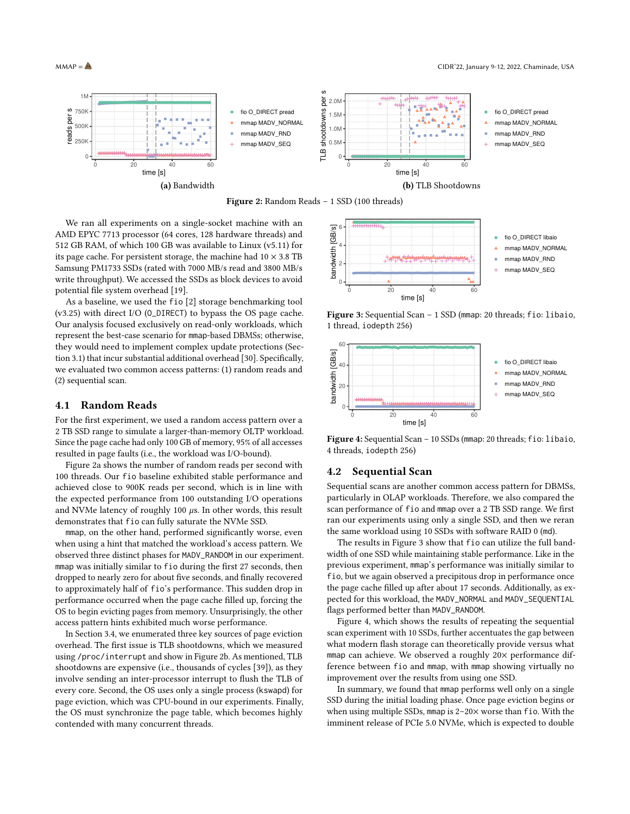<span id="page-4-0"></span>

Figure 2: Random Reads – 1 SSD (100 threads)

We ran all experiments on a single-socket machine with an AMD EPYC 7713 processor (64 cores, 128 hardware threads) and 512 GB RAM, of which 100 GB was available to Linux (v5.11) for its page cache. For persistent storage, the machine had  $10 \times 3.8$  TB Samsung PM1733 SSDs (rated with 7000 MB/s read and 3800 MB/s write throughput). We accessed the SSDs as block devices to avoid potential file system overhead [\[19\]](#page-5-22).

As a baseline, we used the fio [\[2\]](#page-5-26) storage benchmarking tool (v3.25) with direct I/O (O\_DIRECT) to bypass the OS page cache. Our analysis focused exclusively on read-only workloads, which represent the best-case scenario for mmap-based DBMSs; otherwise, they would need to implement complex update protections [\(Sec](#page-2-1)[tion 3.1\)](#page-2-1) that incur substantial additional overhead [\[30\]](#page-6-7). Specifically, we evaluated two common access patterns: (1) random reads and (2) sequential scan.

#### 4.1 Random Reads

For the first experiment, we used a random access pattern over a 2 TB SSD range to simulate a larger-than-memory OLTP workload. Since the page cache had only 100 GB of memory, 95% of all accesses resulted in page faults (i.e., the workload was I/O-bound).

[Figure 2a](#page-4-0) shows the number of random reads per second with 100 threads. Our fio baseline exhibited stable performance and achieved close to 900K reads per second, which is in line with the expected performance from 100 outstanding I/O operations and NVMe latency of roughly 100  $\mu$ s. In other words, this result demonstrates that fio can fully saturate the NVMe SSD.

mmap, on the other hand, performed significantly worse, even when using a hint that matched the workload's access pattern. We observed three distinct phases for MADV\_RANDOM in our experiment. mmap was initially similar to fio during the first 27 seconds, then dropped to nearly zero for about five seconds, and finally recovered to approximately half of fio's performance. This sudden drop in performance occurred when the page cache filled up, forcing the OS to begin evicting pages from memory. Unsurprisingly, the other access pattern hints exhibited much worse performance.

In [Section 3.4,](#page-3-1) we enumerated three key sources of page eviction overhead. The first issue is TLB shootdowns, which we measured using /proc/interrupt and show in [Figure 2b.](#page-4-1) As mentioned, TLB shootdowns are expensive (i.e., thousands of cycles [\[39\]](#page-6-8)), as they involve sending an inter-processor interrupt to flush the TLB of every core. Second, the OS uses only a single process (kswapd) for page eviction, which was CPU-bound in our experiments. Finally, the OS must synchronize the page table, which becomes highly contended with many concurrent threads.

<span id="page-4-2"></span><span id="page-4-1"></span>

Figure 3: Sequential Scan – 1 SSD (mmap: 20 threads; fio: libaio, 1 thread, iodepth 256)

<span id="page-4-3"></span>

Figure 4: Sequential Scan – 10 SSDs (mmap: 20 threads; fio: libaio, 4 threads, iodepth 256)

#### 4.2 Sequential Scan

Sequential scans are another common access pattern for DBMSs, particularly in OLAP workloads. Therefore, we also compared the scan performance of fio and mmap over a 2 TB SSD range. We first ran our experiments using only a single SSD, and then we reran the same workload using 10 SSDs with software RAID 0 (md).

The results in [Figure 3](#page-4-2) show that fio can utilize the full bandwidth of one SSD while maintaining stable performance. Like in the previous experiment, mmap's performance was initially similar to fio, but we again observed a precipitous drop in performance once the page cache filled up after about 17 seconds. Additionally, as expected for this workload, the MADV\_NORMAL and MADV\_SEQUENTIAL flags performed better than MADV\_RANDOM.

[Figure 4,](#page-4-3) which shows the results of repeating the sequential scan experiment with 10 SSDs, further accentuates the gap between what modern flash storage can theoretically provide versus what mmap can achieve. We observed a roughly 20x performance difference between fio and mmap, with mmap showing virtually no improvement over the results from using one SSD.

In summary, we found that mmap performs well only on a single SSD during the initial loading phase. Once page eviction begins or when using multiple SSDs, mmap is 2-20× worse than fio. With the imminent release of PCIe 5.0 NVMe, which is expected to double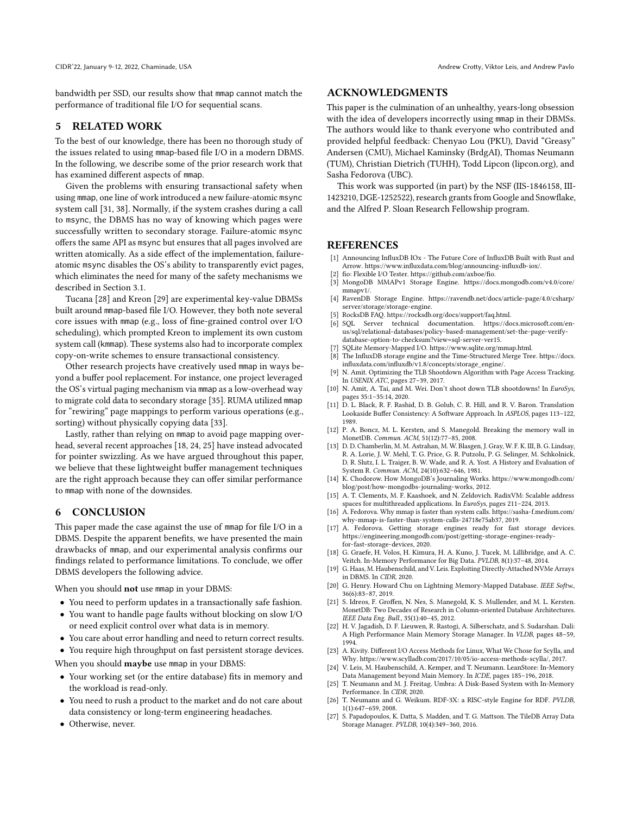bandwidth per SSD, our results show that mmap cannot match the performance of traditional file I/O for sequential scans.

# <span id="page-5-1"></span>5 RELATED WORK

To the best of our knowledge, there has been no thorough study of the issues related to using mmap-based file I/O in a modern DBMS. In the following, we describe some of the prior research work that has examined different aspects of mmap.

Given the problems with ensuring transactional safety when using mmap, one line of work introduced a new failure-atomic msync system call [\[31,](#page-6-9) [38\]](#page-6-10). Normally, if the system crashes during a call to msync, the DBMS has no way of knowing which pages were successfully written to secondary storage. Failure-atomic msync offers the same API as msync but ensures that all pages involved are written atomically. As a side effect of the implementation, failureatomic msync disables the OS's ability to transparently evict pages, which eliminates the need for many of the safety mechanisms we described in [Section 3.1.](#page-2-1)

Tucana [\[28\]](#page-6-5) and Kreon [\[29\]](#page-6-6) are experimental key-value DBMSs built around mmap-based file I/O. However, they both note several core issues with mmap (e.g., loss of fine-grained control over I/O scheduling), which prompted Kreon to implement its own custom system call (kmmap). These systems also had to incorporate complex copy-on-write schemes to ensure transactional consistency.

Other research projects have creatively used mmap in ways beyond a buffer pool replacement. For instance, one project leveraged the OS's virtual paging mechanism via mmap as a low-overhead way to migrate cold data to secondary storage [\[35\]](#page-6-11). RUMA utilized mmap for "rewiring" page mappings to perform various operations (e.g., sorting) without physically copying data [\[33\]](#page-6-12).

Lastly, rather than relying on mmap to avoid page mapping overhead, several recent approaches [\[18,](#page-5-18) [24,](#page-5-27) [25\]](#page-5-28) have instead advocated for pointer swizzling. As we have argued throughout this paper, we believe that these lightweight buffer management techniques are the right approach because they can offer similar performance to mmap with none of the downsides.

## <span id="page-5-2"></span>6 CONCLUSION

This paper made the case against the use of mmap for file I/O in a DBMS. Despite the apparent benefits, we have presented the main drawbacks of mmap, and our experimental analysis confirms our findings related to performance limitations. To conclude, we offer DBMS developers the following advice.

When you should not use mmap in your DBMS:

- You need to perform updates in a transactionally safe fashion.
- You want to handle page faults without blocking on slow I/O or need explicit control over what data is in memory.
- You care about error handling and need to return correct results.
- You require high throughput on fast persistent storage devices.

When you should **maybe** use mmap in your DBMS:

- Your working set (or the entire database) fits in memory and the workload is read-only.
- You need to rush a product to the market and do not care about data consistency or long-term engineering headaches.
- Otherwise, never.

### ACKNOWLEDGMENTS

This paper is the culmination of an unhealthy, years-long obsession with the idea of developers incorrectly using mmap in their DBMSs. The authors would like to thank everyone who contributed and provided helpful feedback: [Chenyao Lou](https://lcy.im/) (PKU), [David "Greasy"](https://en.wikipedia.org/wiki/File:David_Andersen_-_Professor_Street_Urchin.jpg) [Andersen](https://en.wikipedia.org/wiki/File:David_Andersen_-_Professor_Street_Urchin.jpg) (CMU), [Michael Kaminsky](https://www.cs.cmu.edu/~kaminsky/) (BrdgAI), [Thomas Neumann](https://db.in.tum.de/~neumann/) (TUM), [Christian Dietrich](https://osg.tuhh.de/People/dietrich/) (TUHH), [Todd Lipcon](https://www.linkedin.com/in/toddlipcon/) [\(lipcon.org\)](https://lipcon.org/), and [Sasha Fedorova](https://people.ece.ubc.ca/sasha/) (UBC).

This work was supported (in part) by the NSF [\(IIS-1846158,](http://www.nsf.gov/awardsearch/showAward?AWD_ID=1846158) [III-](http://www.nsf.gov/awardsearch/showAward?AWD_ID=1423210)[1423210,](http://www.nsf.gov/awardsearch/showAward?AWD_ID=1423210) [DGE-1252522\)](http://www.nsf.gov/awardsearch/showAward?AWD_ID=1252522), research grants from Google and Snowflake, and the [Alfred P. Sloan Research Fellowship](https://sloan.org/grant-detail/8638) program.

#### REFERENCES

- <span id="page-5-11"></span>[1] Announcing InfluxDB IOx - The Future Core of InfluxDB Built with Rust and Arrow. [https://www.influxdata.com/blog/announcing-influxdb-iox/.](https://www.influxdata.com/blog/announcing-influxdb-iox/)
- <span id="page-5-26"></span>[2] fio: Flexible I/O Tester. [https://github.com/axboe/fio.](https://github.com/axboe/fio)
- <span id="page-5-6"></span>MongoDB MMAPv1 Storage Engine. [https://docs.mongodb.com/v4.0/core/](https://docs.mongodb.com/v4.0/core/mmapv1/) [mmapv1/.](https://docs.mongodb.com/v4.0/core/mmapv1/)
- <span id="page-5-9"></span>[4] RavenDB Storage Engine. [https://ravendb.net/docs/article-page/4.0/csharp/](https://ravendb.net/docs/article-page/4.0/csharp/server/storage/storage-engine) [server/storage/storage-engine.](https://ravendb.net/docs/article-page/4.0/csharp/server/storage/storage-engine)
- <span id="page-5-7"></span>RocksDB FAQ. [https://rocksdb.org/docs/support/faq.html.](https://rocksdb.org/docs/support/faq.html)
- <span id="page-5-20"></span>SQL Server technical documentation. [https://docs.microsoft.com/en](https://docs.microsoft.com/en-us/sql/relational-databases/policy-based-management/set-the-page-verify-database-option-to-checksum?view=sql-server-ver15)[us/sql/relational-databases/policy-based-management/set-the-page-verify](https://docs.microsoft.com/en-us/sql/relational-databases/policy-based-management/set-the-page-verify-database-option-to-checksum?view=sql-server-ver15)[database-option-to-checksum?view=sql-server-ver15.](https://docs.microsoft.com/en-us/sql/relational-databases/policy-based-management/set-the-page-verify-database-option-to-checksum?view=sql-server-ver15)
- <span id="page-5-8"></span>[7] SQLite Memory-Mapped I/O. [https://www.sqlite.org/mmap.html.](https://www.sqlite.org/mmap.html)
- <span id="page-5-10"></span>[8] The InfluxDB storage engine and the Time-Structured Merge Tree. [https://docs.](https://docs.influxdata.com/influxdb/v1.8/concepts/storage_engine/)  $\label{eq:induced} \text{influxdata.com/influxdb/v1.8}/\text{concepts}/\text{storage\_engine}/.$
- <span id="page-5-24"></span>[9] N. Amit. Optimizing the TLB Shootdown Algorithm with Page Access Tracking. In USENIX ATC, pages 27–39, 2017.
- <span id="page-5-25"></span>[10] N. Amit, A. Tai, and M. Wei. Don't shoot down TLB shootdowns! In *EuroSys*, pages 35:1–35:14, 2020.
- <span id="page-5-13"></span>[11] D. L. Black, R. F. Rashid, D. B. Golub, C. R. Hill, and R. V. Baron. Translation Lookaside Buffer Consistency: A Software Approach. In ASPLOS, pages 113–122, 1989.
- <span id="page-5-3"></span>[12] P. A. Boncz, M. L. Kersten, and S. Manegold. Breaking the memory wall in MonetDB. Commun. ACM, 51(12):77–85, 2008.
- <span id="page-5-19"></span>[13] D. D. Chamberlin, M. M. Astrahan, M. W. Blasgen, J. Gray, W. F. K. III, B. G. Lindsay, R. A. Lorie, J. W. Mehl, T. G. Price, G. R. Putzolu, P. G. Selinger, M. Schkolnick, D. R. Slutz, I. L. Traiger, B. W. Wade, and R. A. Yost. A History and Evaluation of System R. Commun. ACM, 24(10):632–646, 1981.
- <span id="page-5-5"></span>[14] K. Chodorow. How MongoDB's Journaling Works. [https://www.mongodb.com/](https://www.mongodb.com/blog/post/how-mongodbs-journaling-works) [blog/post/how-mongodbs-journaling-works,](https://www.mongodb.com/blog/post/how-mongodbs-journaling-works) 2012.
- <span id="page-5-23"></span>[15] A. T. Clements, M. F. Kaashoek, and N. Zeldovich. RadixVM: Scalable address spaces for multithreaded applications. In EuroSys, pages 211-224, 2013.
- <span id="page-5-21"></span>[16] A. Fedorova. Why mmap is faster than system calls. [https://sasha-f.medium.com/](https://sasha-f.medium.com/why-mmap-is-faster-than-system-calls-24718e75ab37) [why-mmap-is-faster-than-system-calls-24718e75ab37,](https://sasha-f.medium.com/why-mmap-is-faster-than-system-calls-24718e75ab37) 2019.
- <span id="page-5-12"></span>[17] A. Fedorova. Getting storage engines ready for fast storage devices. [https://engineering.mongodb.com/post/getting-storage-engines-ready](https://engineering.mongodb.com/post/getting-storage-engines-ready-for-fast-storage-devices)[for-fast-storage-devices,](https://engineering.mongodb.com/post/getting-storage-engines-ready-for-fast-storage-devices) 2020.
- <span id="page-5-18"></span>[18] G. Graefe, H. Volos, H. Kimura, H. A. Kuno, J. Tucek, M. Lillibridge, and A. C. Veitch. In-Memory Performance for Big Data. PVLDB, 8(1):37–48, 2014.
- <span id="page-5-22"></span>[19] G. Haas, M. Haubenschild, and V. Leis. Exploiting Directly-Attached NVMe Arrays in DBMS. In CIDR, 2020.
- <span id="page-5-0"></span>[20] G. Henry. Howard Chu on Lightning Memory-Mapped Database. IEEE Softw., 36(6):83–87, 2019.
- <span id="page-5-4"></span>[21] S. Idreos, F. Groffen, N. Nes, S. Manegold, K. S. Mullender, and M. L. Kersten. MonetDB: Two Decades of Research in Column-oriented Database Architectures. IEEE Data Eng. Bull., 35(1):40–45, 2012.
- <span id="page-5-14"></span>[22] H. V. Jagadish, D. F. Lieuwen, R. Rastogi, A. Silberschatz, and S. Sudarshan. Dalí: A High Performance Main Memory Storage Manager. In VLDB, pages 48–59, 1994.
- <span id="page-5-16"></span>[23] A. Kivity. Different I/O Access Methods for Linux, What We Chose for Scylla, and Why. [https://www.scylladb.com/2017/10/05/io-access-methods-scylla/,](https://www.scylladb.com/2017/10/05/io-access-methods-scylla/) 2017.
- <span id="page-5-27"></span>[24] V. Leis, M. Haubenschild, A. Kemper, and T. Neumann. LeanStore: In-Memory Data Management beyond Main Memory. In ICDE, pages 185–196, 2018.
- <span id="page-5-28"></span>[25] T. Neumann and M. J. Freitag. Umbra: A Disk-Based System with In-Memory Performance. In CIDR, 2020.
- <span id="page-5-17"></span>[26] T. Neumann and G. Weikum. RDF-3X: a RISC-style Engine for RDF. PVLDB, 1(1):647–659, 2008.
- <span id="page-5-15"></span>[27] S. Papadopoulos, K. Datta, S. Madden, and T. G. Mattson. The TileDB Array Data Storage Manager. PVLDB, 10(4):349–360, 2016.